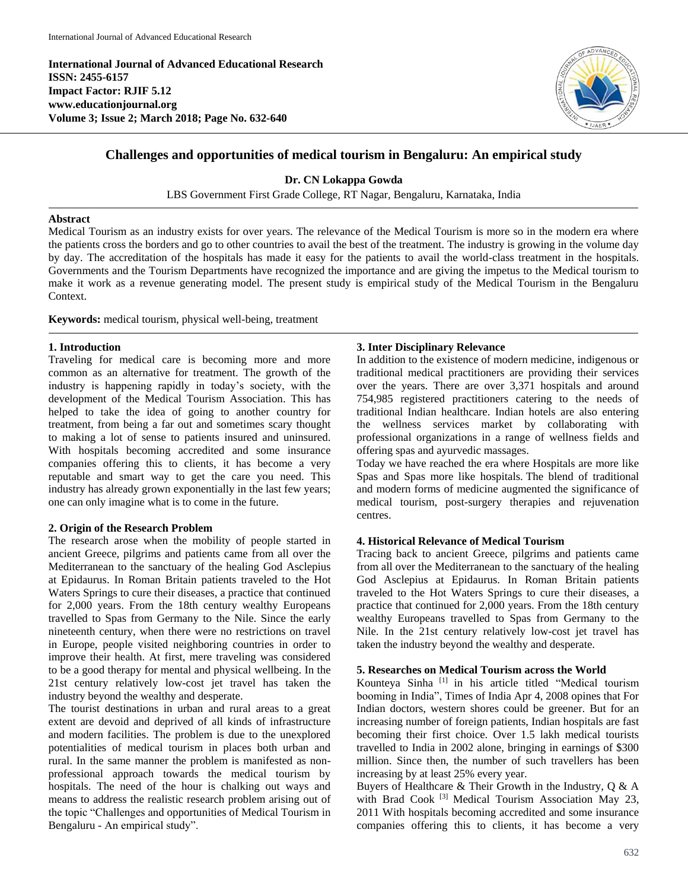**International Journal of Advanced Educational Research ISSN: 2455-6157 Impact Factor: RJIF 5.12 www.educationjournal.org Volume 3; Issue 2; March 2018; Page No. 632-640**



# **Challenges and opportunities of medical tourism in Bengaluru: An empirical study**

# **Dr. CN Lokappa Gowda**

LBS Government First Grade College, RT Nagar, Bengaluru, Karnataka, India

#### **Abstract**

Medical Tourism as an industry exists for over years. The relevance of the Medical Tourism is more so in the modern era where the patients cross the borders and go to other countries to avail the best of the treatment. The industry is growing in the volume day by day. The accreditation of the hospitals has made it easy for the patients to avail the world-class treatment in the hospitals. Governments and the Tourism Departments have recognized the importance and are giving the impetus to the Medical tourism to make it work as a revenue generating model. The present study is empirical study of the Medical Tourism in the Bengaluru Context.

**Keywords:** medical tourism, physical well-being, treatment

# **1. Introduction**

Traveling for medical care is becoming more and more common as an alternative for treatment. The growth of the industry is happening rapidly in today's society, with the development of the Medical Tourism Association. This has helped to take the idea of going to another country for treatment, from being a far out and sometimes scary thought to making a lot of sense to patients insured and uninsured. With hospitals becoming accredited and some insurance companies offering this to clients, it has become a very reputable and smart way to get the care you need. This industry has already grown exponentially in the last few years; one can only imagine what is to come in the future.

#### **2. Origin of the Research Problem**

The research arose when the mobility of people started in ancient Greece, pilgrims and patients came from all over the Mediterranean to the sanctuary of the healing God Asclepius at Epidaurus. In Roman Britain patients traveled to the Hot Waters Springs to cure their diseases, a practice that continued for 2,000 years. From the 18th century wealthy Europeans travelled to Spas from Germany to the Nile. Since the early nineteenth century, when there were no restrictions on travel in Europe, people visited neighboring countries in order to improve their health. At first, mere traveling was considered to be a good therapy for mental and physical wellbeing. In the 21st century relatively low-cost jet travel has taken the industry beyond the wealthy and desperate.

The tourist destinations in urban and rural areas to a great extent are devoid and deprived of all kinds of infrastructure and modern facilities. The problem is due to the unexplored potentialities of medical tourism in places both urban and rural. In the same manner the problem is manifested as nonprofessional approach towards the medical tourism by hospitals. The need of the hour is chalking out ways and means to address the realistic research problem arising out of the topic "Challenges and opportunities of Medical Tourism in Bengaluru - An empirical study".

#### **3. Inter Disciplinary Relevance**

In addition to the existence of modern medicine, indigenous or traditional medical practitioners are providing their services over the years. There are over 3,371 hospitals and around 754,985 registered practitioners catering to the needs of traditional Indian healthcare. Indian hotels are also entering the wellness services market by collaborating with professional organizations in a range of wellness fields and offering spas and ayurvedic massages.

Today we have reached the era where Hospitals are more like Spas and Spas more like hospitals. The blend of traditional and modern forms of medicine augmented the significance of medical tourism, post-surgery therapies and rejuvenation centres.

# **4. Historical Relevance of Medical Tourism**

Tracing back to ancient Greece, pilgrims and patients came from all over the Mediterranean to the sanctuary of the healing God Asclepius at Epidaurus. In Roman Britain patients traveled to the Hot Waters Springs to cure their diseases, a practice that continued for 2,000 years. From the 18th century wealthy Europeans travelled to Spas from Germany to the Nile. In the 21st century relatively low-cost jet travel has taken the industry beyond the wealthy and desperate.

#### **5. Researches on Medical Tourism across the World**

Kounteya Sinha<sup>[1]</sup> in his article titled "Medical tourism booming in India", Times of India Apr 4, 2008 opines that For Indian doctors, western shores could be greener. But for an increasing number of foreign patients, Indian hospitals are fast becoming their first choice. Over 1.5 lakh medical tourists travelled to India in 2002 alone, bringing in earnings of \$300 million. Since then, the number of such travellers has been increasing by at least 25% every year.

Buyers of Healthcare  $\&$  Their Growth in the Industry, O  $\&$  A with Brad Cook <sup>[3]</sup> Medical Tourism Association May 23, 2011 With hospitals becoming accredited and some insurance companies offering this to clients, it has become a very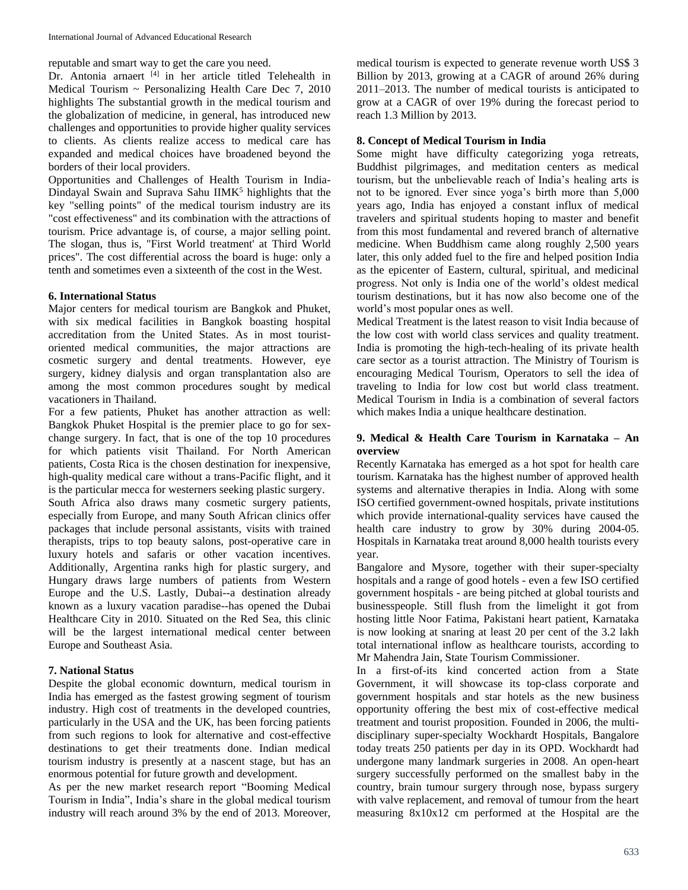reputable and smart way to get the care you need.

Dr. Antonia arnaert [4] in her article titled Telehealth in Medical Tourism  $\sim$  Personalizing Health Care Dec 7, 2010 highlights The substantial growth in the medical tourism and the globalization of medicine, in general, has introduced new challenges and opportunities to provide higher quality services to clients. As clients realize access to medical care has expanded and medical choices have broadened beyond the borders of their local providers.

Opportunities and Challenges of Health Tourism in India-Dindayal Swain and Suprava Sahu IIMK<sup>5</sup> highlights that the key "selling points" of the medical tourism industry are its "cost effectiveness" and its combination with the attractions of tourism. Price advantage is, of course, a major selling point. The slogan, thus is, "First World treatment' at Third World prices". The cost differential across the board is huge: only a tenth and sometimes even a sixteenth of the cost in the West.

#### **6. International Status**

Major centers for medical tourism are Bangkok and Phuket, with six medical facilities in Bangkok boasting hospital accreditation from the United States. As in most touristoriented medical communities, the major attractions are cosmetic surgery and dental treatments. However, eye surgery, kidney dialysis and organ transplantation also are among the most common procedures sought by medical vacationers in Thailand.

For a few patients, Phuket has another attraction as well: Bangkok Phuket Hospital is the premier place to go for sexchange surgery. In fact, that is one of the top 10 procedures for which patients visit Thailand. For North American patients, Costa Rica is the chosen destination for inexpensive, high-quality medical care without a trans-Pacific flight, and it is the particular mecca for westerners seeking plastic surgery.

South Africa also draws many cosmetic surgery patients, especially from Europe, and many South African clinics offer packages that include personal assistants, visits with trained therapists, trips to top beauty salons, post-operative care in luxury hotels and safaris or other vacation incentives. Additionally, Argentina ranks high for plastic surgery, and Hungary draws large numbers of patients from Western Europe and the U.S. Lastly, Dubai--a destination already known as a luxury vacation paradise--has opened the Dubai Healthcare City in 2010. Situated on the Red Sea, this clinic will be the largest international medical center between Europe and Southeast Asia.

# **7. National Status**

Despite the global economic downturn, medical tourism in India has emerged as the fastest growing segment of tourism industry. High cost of treatments in the developed countries, particularly in the USA and the UK, has been forcing patients from such regions to look for alternative and cost-effective destinations to get their treatments done. Indian medical tourism industry is presently at a nascent stage, but has an enormous potential for future growth and development.

As per the new market research report "Booming Medical Tourism in India", India's share in the global medical tourism industry will reach around 3% by the end of 2013. Moreover, medical tourism is expected to generate revenue worth US\$ 3 Billion by 2013, growing at a CAGR of around 26% during 2011–2013. The number of medical tourists is anticipated to grow at a CAGR of over 19% during the forecast period to reach 1.3 Million by 2013.

# **8. Concept of Medical Tourism in India**

Some might have difficulty categorizing yoga retreats, Buddhist pilgrimages, and meditation centers as medical tourism, but the unbelievable reach of India's healing arts is not to be ignored. Ever since yoga's birth more than 5,000 years ago, India has enjoyed a constant influx of medical travelers and spiritual students hoping to master and benefit from this most fundamental and revered branch of alternative medicine. When Buddhism came along roughly 2,500 years later, this only added fuel to the fire and helped position India as the epicenter of Eastern, cultural, spiritual, and medicinal progress. Not only is India one of the world's oldest medical tourism destinations, but it has now also become one of the world's most popular ones as well.

Medical Treatment is the latest reason to visit India because of the low cost with world class services and quality treatment. India is promoting the high-tech-healing of its private health care sector as a tourist attraction. The Ministry of Tourism is encouraging Medical Tourism, Operators to sell the idea of traveling to India for low cost but world class treatment. Medical Tourism in India is a combination of several factors which makes India a unique healthcare destination.

# **9. Medical & Health Care Tourism in Karnataka – An overview**

Recently Karnataka has emerged as a hot spot for health care tourism. Karnataka has the highest number of approved health systems and alternative therapies in India. Along with some ISO certified government-owned hospitals, private institutions which provide international-quality services have caused the health care industry to grow by 30% during 2004-05. Hospitals in Karnataka treat around 8,000 health tourists every year.

Bangalore and Mysore, together with their super-specialty hospitals and a range of good hotels - even a few ISO certified government hospitals - are being pitched at global tourists and businesspeople. Still flush from the limelight it got from hosting little Noor Fatima, Pakistani heart patient, Karnataka is now looking at snaring at least 20 per cent of the 3.2 lakh total international inflow as healthcare tourists, according to Mr Mahendra Jain, State Tourism Commissioner.

In a first-of-its kind concerted action from a State Government, it will showcase its top-class corporate and government hospitals and star hotels as the new business opportunity offering the best mix of cost-effective medical treatment and tourist proposition. Founded in 2006, the multidisciplinary super-specialty Wockhardt Hospitals, Bangalore today treats 250 patients per day in its OPD. Wockhardt had undergone many landmark surgeries in 2008. An open-heart surgery successfully performed on the smallest baby in the country, brain tumour surgery through nose, bypass surgery with valve replacement, and removal of tumour from the heart measuring 8x10x12 cm performed at the Hospital are the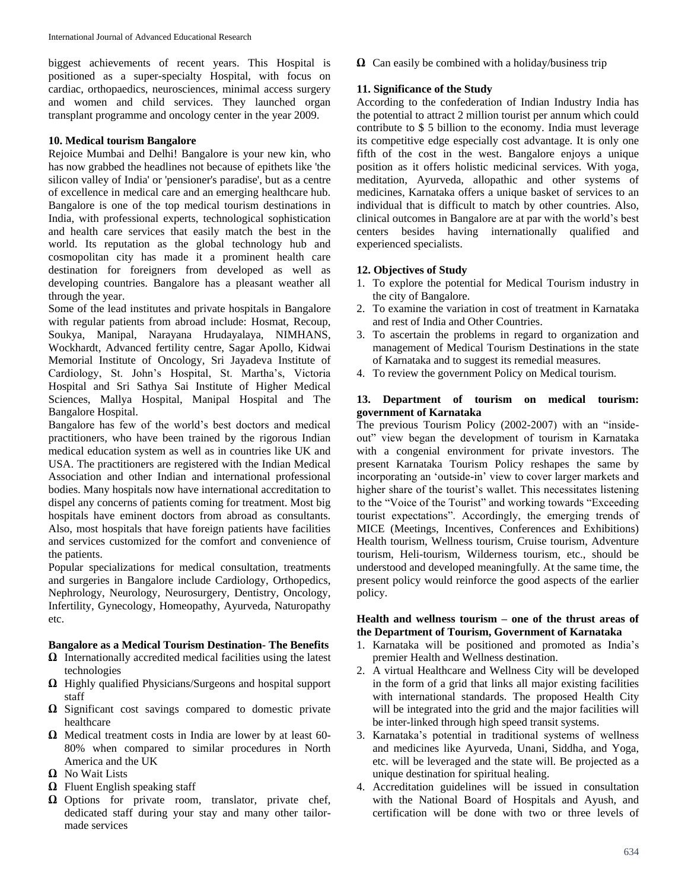biggest achievements of recent years. This Hospital is positioned as a super-specialty Hospital, with focus on cardiac, orthopaedics, neurosciences, minimal access surgery and women and child services. They launched organ transplant programme and oncology center in the year 2009.

## **10. Medical tourism Bangalore**

Rejoice Mumbai and Delhi! Bangalore is your new kin, who has now grabbed the headlines not because of epithets like 'the silicon valley of India' or 'pensioner's paradise', but as a centre of excellence in medical care and an emerging healthcare hub. Bangalore is one of the top medical tourism destinations in India, with professional experts, technological sophistication and health care services that easily match the best in the world. Its reputation as the global technology hub and cosmopolitan city has made it a prominent health care destination for foreigners from developed as well as developing countries. Bangalore has a pleasant weather all through the year.

Some of the lead institutes and private hospitals in Bangalore with regular patients from abroad include: Hosmat, Recoup, Soukya, Manipal, Narayana Hrudayalaya, NIMHANS, Wockhardt, Advanced fertility centre, Sagar Apollo, Kidwai Memorial Institute of Oncology, Sri Jayadeva Institute of Cardiology, St. John's Hospital, St. Martha's, Victoria Hospital and Sri Sathya Sai Institute of Higher Medical Sciences, Mallya Hospital, Manipal Hospital and The Bangalore Hospital.

Bangalore has few of the world's best doctors and medical practitioners, who have been trained by the rigorous Indian medical education system as well as in countries like UK and USA. The practitioners are registered with the Indian Medical Association and other Indian and international professional bodies. Many hospitals now have international accreditation to dispel any concerns of patients coming for treatment. Most big hospitals have eminent doctors from abroad as consultants. Also, most hospitals that have foreign patients have facilities and services customized for the comfort and convenience of the patients.

Popular specializations for medical consultation, treatments and surgeries in Bangalore include Cardiology, Orthopedics, Nephrology, Neurology, Neurosurgery, Dentistry, Oncology, Infertility, Gynecology, Homeopathy, Ayurveda, Naturopathy etc.

#### **Bangalore as a Medical Tourism Destination- The Benefits**

- **Ω** Internationally accredited medical facilities using the latest technologies
- **Ω** Highly qualified Physicians/Surgeons and hospital support staff
- **Ω** Significant cost savings compared to domestic private healthcare
- **Ω** Medical treatment costs in India are lower by at least 60- 80% when compared to similar procedures in North America and the UK
- **Ω** No Wait Lists
- **Ω** Fluent English speaking staff
- **Ω** Options for private room, translator, private chef, dedicated staff during your stay and many other tailormade services

**Ω** Can easily be combined with a holiday/business trip

# **11. Significance of the Study**

According to the confederation of Indian Industry India has the potential to attract 2 million tourist per annum which could contribute to \$ 5 billion to the economy. India must leverage its competitive edge especially cost advantage. It is only one fifth of the cost in the west. Bangalore enjoys a unique position as it offers holistic medicinal services. With yoga, meditation, Ayurveda, allopathic and other systems of medicines, Karnataka offers a unique basket of services to an individual that is difficult to match by other countries. Also, clinical outcomes in Bangalore are at par with the world's best centers besides having internationally qualified and experienced specialists.

# **12. Objectives of Study**

- 1. To explore the potential for Medical Tourism industry in the city of Bangalore.
- 2. To examine the variation in cost of treatment in Karnataka and rest of India and Other Countries.
- 3. To ascertain the problems in regard to organization and management of Medical Tourism Destinations in the state of Karnataka and to suggest its remedial measures.
- 4. To review the government Policy on Medical tourism.

# **13. Department of tourism on medical tourism: government of Karnataka**

The previous Tourism Policy (2002-2007) with an "insideout" view began the development of tourism in Karnataka with a congenial environment for private investors. The present Karnataka Tourism Policy reshapes the same by incorporating an 'outside-in' view to cover larger markets and higher share of the tourist's wallet. This necessitates listening to the "Voice of the Tourist" and working towards "Exceeding tourist expectations". Accordingly, the emerging trends of MICE (Meetings, Incentives, Conferences and Exhibitions) Health tourism, Wellness tourism, Cruise tourism, Adventure tourism, Heli-tourism, Wilderness tourism, etc., should be understood and developed meaningfully. At the same time, the present policy would reinforce the good aspects of the earlier policy.

#### **Health and wellness tourism – one of the thrust areas of the Department of Tourism, Government of Karnataka**

- 1. Karnataka will be positioned and promoted as India's premier Health and Wellness destination.
- 2. A virtual Healthcare and Wellness City will be developed in the form of a grid that links all major existing facilities with international standards. The proposed Health City will be integrated into the grid and the major facilities will be inter-linked through high speed transit systems.
- 3. Karnataka's potential in traditional systems of wellness and medicines like Ayurveda, Unani, Siddha, and Yoga, etc. will be leveraged and the state will. Be projected as a unique destination for spiritual healing.
- 4. Accreditation guidelines will be issued in consultation with the National Board of Hospitals and Ayush, and certification will be done with two or three levels of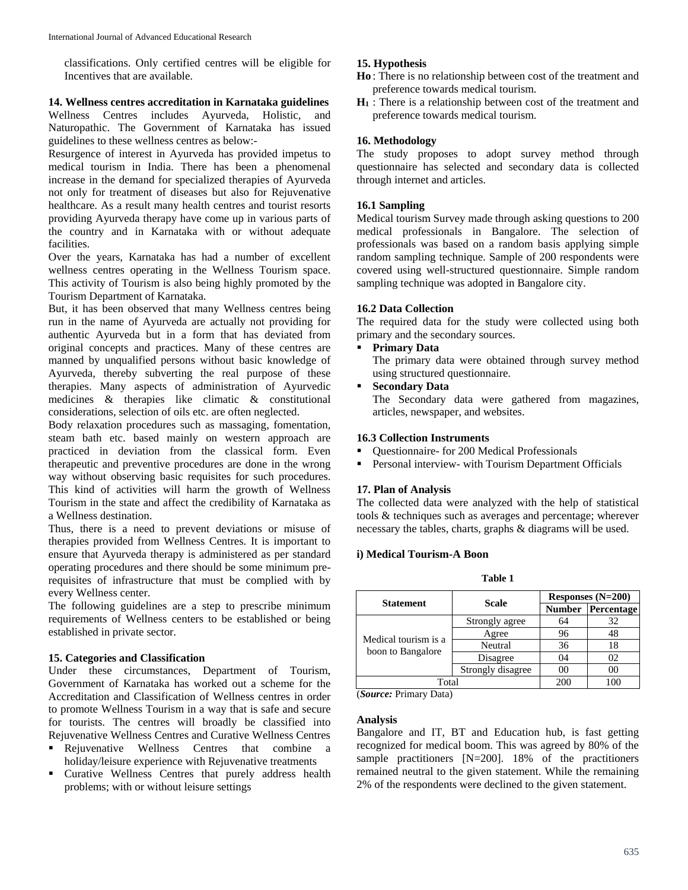classifications. Only certified centres will be eligible for Incentives that are available.

#### **14. Wellness centres accreditation in Karnataka guidelines**

Wellness Centres includes Ayurveda, Holistic, and Naturopathic. The Government of Karnataka has issued guidelines to these wellness centres as below:-

Resurgence of interest in Ayurveda has provided impetus to medical tourism in India. There has been a phenomenal increase in the demand for specialized therapies of Ayurveda not only for treatment of diseases but also for Rejuvenative healthcare. As a result many health centres and tourist resorts providing Ayurveda therapy have come up in various parts of the country and in Karnataka with or without adequate facilities.

Over the years, Karnataka has had a number of excellent wellness centres operating in the Wellness Tourism space. This activity of Tourism is also being highly promoted by the Tourism Department of Karnataka.

But, it has been observed that many Wellness centres being run in the name of Ayurveda are actually not providing for authentic Ayurveda but in a form that has deviated from original concepts and practices. Many of these centres are manned by unqualified persons without basic knowledge of Ayurveda, thereby subverting the real purpose of these therapies. Many aspects of administration of Ayurvedic medicines & therapies like climatic & constitutional considerations, selection of oils etc. are often neglected.

Body relaxation procedures such as massaging, fomentation, steam bath etc. based mainly on western approach are practiced in deviation from the classical form. Even therapeutic and preventive procedures are done in the wrong way without observing basic requisites for such procedures. This kind of activities will harm the growth of Wellness Tourism in the state and affect the credibility of Karnataka as a Wellness destination.

Thus, there is a need to prevent deviations or misuse of therapies provided from Wellness Centres. It is important to ensure that Ayurveda therapy is administered as per standard operating procedures and there should be some minimum prerequisites of infrastructure that must be complied with by every Wellness center.

The following guidelines are a step to prescribe minimum requirements of Wellness centers to be established or being established in private sector.

#### **15. Categories and Classification**

Under these circumstances, Department of Tourism, Government of Karnataka has worked out a scheme for the Accreditation and Classification of Wellness centres in order to promote Wellness Tourism in a way that is safe and secure for tourists. The centres will broadly be classified into Rejuvenative Wellness Centres and Curative Wellness Centres

- Rejuvenative Wellness Centres that combine a holiday/leisure experience with Rejuvenative treatments
- **Curative Wellness Centres that purely address health** problems; with or without leisure settings

# **15. Hypothesis**

- **Ho** : There is no relationship between cost of the treatment and preference towards medical tourism.
- **H<sup>1</sup>** : There is a relationship between cost of the treatment and preference towards medical tourism.

#### **16. Methodology**

The study proposes to adopt survey method through questionnaire has selected and secondary data is collected through internet and articles.

# **16.1 Sampling**

Medical tourism Survey made through asking questions to 200 medical professionals in Bangalore. The selection of professionals was based on a random basis applying simple random sampling technique. Sample of 200 respondents were covered using well-structured questionnaire. Simple random sampling technique was adopted in Bangalore city.

#### **16.2 Data Collection**

The required data for the study were collected using both primary and the secondary sources.

**Primary Data**

The primary data were obtained through survey method using structured questionnaire.

 **Secondary Data** The Secondary data were gathered from magazines, articles, newspaper, and websites.

# **16.3 Collection Instruments**

- Ouestionnaire- for 200 Medical Professionals
- **Personal interview- with Tourism Department Officials**

#### **17. Plan of Analysis**

The collected data were analyzed with the help of statistical tools & techniques such as averages and percentage; wherever necessary the tables, charts, graphs & diagrams will be used.

#### **i) Medical Tourism-A Boon**

**Table 1**

| <b>Statement</b>     | Scale             | Responses $(N=200)$ |            |  |
|----------------------|-------------------|---------------------|------------|--|
|                      |                   | <b>Number</b>       | Percentage |  |
|                      | Strongly agree    | 64                  | 32         |  |
| Medical tourism is a | Agree             | 96                  | 48         |  |
| boon to Bangalore    | Neutral           | 36                  | 18         |  |
|                      | Disagree          | 04                  | 02         |  |
|                      | Strongly disagree | 00                  | 00         |  |
| Total                |                   | 200                 |            |  |

(*Source:* Primary Data)

#### **Analysis**

Bangalore and IT, BT and Education hub, is fast getting recognized for medical boom. This was agreed by 80% of the sample practitioners [N=200]. 18% of the practitioners remained neutral to the given statement. While the remaining 2% of the respondents were declined to the given statement.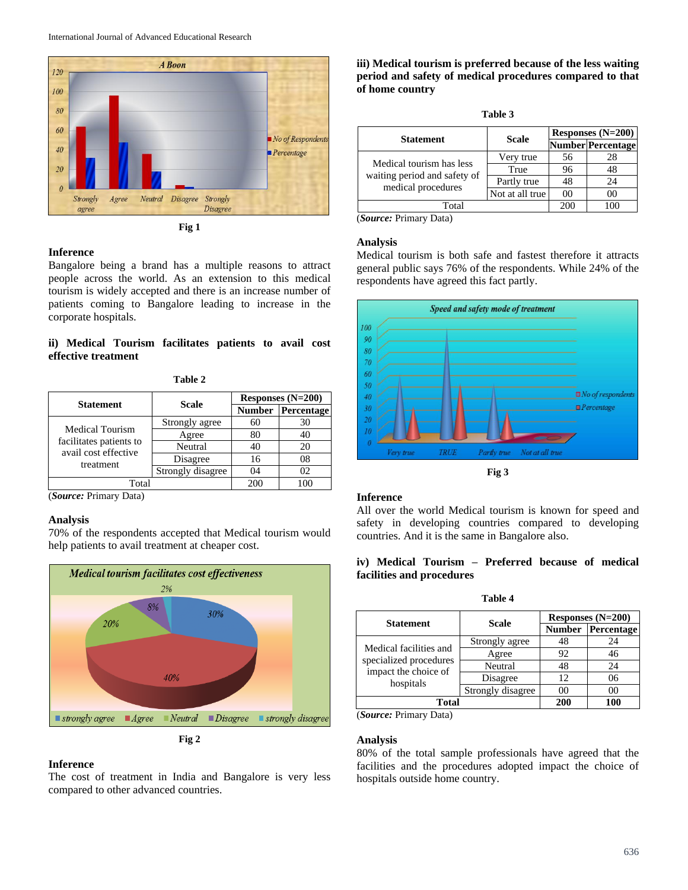

**Fig 1**

#### **Inference**

Bangalore being a brand has a multiple reasons to attract people across the world. As an extension to this medical tourism is widely accepted and there is an increase number of patients coming to Bangalore leading to increase in the corporate hospitals.

# **ii) Medical Tourism facilitates patients to avail cost effective treatment**

**Table 2**

|                                                              | <b>Scale</b>      | Responses $(N=200)$ |            |  |
|--------------------------------------------------------------|-------------------|---------------------|------------|--|
| <b>Statement</b>                                             |                   | <b>Number</b>       | Percentage |  |
| <b>Medical Tourism</b>                                       | Strongly agree    | 60                  | 30         |  |
|                                                              | Agree             | 80                  | 40         |  |
| facilitates patients to<br>avail cost effective<br>treatment | Neutral           | 40                  | 20         |  |
|                                                              | Disagree          | 16                  | 08         |  |
|                                                              | Strongly disagree | 04                  | O2         |  |
| Total                                                        |                   | 200                 | 100        |  |

(*Source:* Primary Data)

# **Analysis**

70% of the respondents accepted that Medical tourism would help patients to avail treatment at cheaper cost.



**Fig 2**

## **Inference**

The cost of treatment in India and Bangalore is very less compared to other advanced countries.

# **iii) Medical tourism is preferred because of the less waiting period and safety of medical procedures compared to that of home country**

| וחו<br>ж |  |
|----------|--|
|----------|--|

| <b>Statement</b>                                   | <b>Scale</b>    | Responses $(N=200)$ |                          |  |
|----------------------------------------------------|-----------------|---------------------|--------------------------|--|
|                                                    |                 |                     | <b>Number Percentage</b> |  |
| Medical tourism has less                           | Very true       | 56                  | 28                       |  |
| waiting period and safety of<br>medical procedures | True            | 96                  | 48                       |  |
|                                                    | Partly true     | 48                  | 24                       |  |
|                                                    | Not at all true | 0 <sup>0</sup>      | 00                       |  |
| Total                                              |                 | 200                 |                          |  |

(*Source:* Primary Data)

#### **Analysis**

Medical tourism is both safe and fastest therefore it attracts general public says 76% of the respondents. While 24% of the respondents have agreed this fact partly.



**Fig 3**

#### **Inference**

All over the world Medical tourism is known for speed and safety in developing countries compared to developing countries. And it is the same in Bangalore also.

# **iv) Medical Tourism – Preferred because of medical facilities and procedures**

**Table 4**

| <b>Statement</b>                                            | Scale             | Responses $(N=200)$ |            |  |
|-------------------------------------------------------------|-------------------|---------------------|------------|--|
|                                                             |                   | <b>Number</b>       | Percentage |  |
|                                                             | Strongly agree    | 48                  | 24         |  |
| Medical facilities and                                      | Agree             | 92                  | 46         |  |
| specialized procedures<br>impact the choice of<br>hospitals | Neutral           | 48                  | 24         |  |
|                                                             | Disagree          | 12                  | 06         |  |
|                                                             | Strongly disagree | ററ                  | იი         |  |
| <b>Total</b>                                                |                   | 200                 | 100        |  |

(*Source:* Primary Data)

# **Analysis**

80% of the total sample professionals have agreed that the facilities and the procedures adopted impact the choice of hospitals outside home country.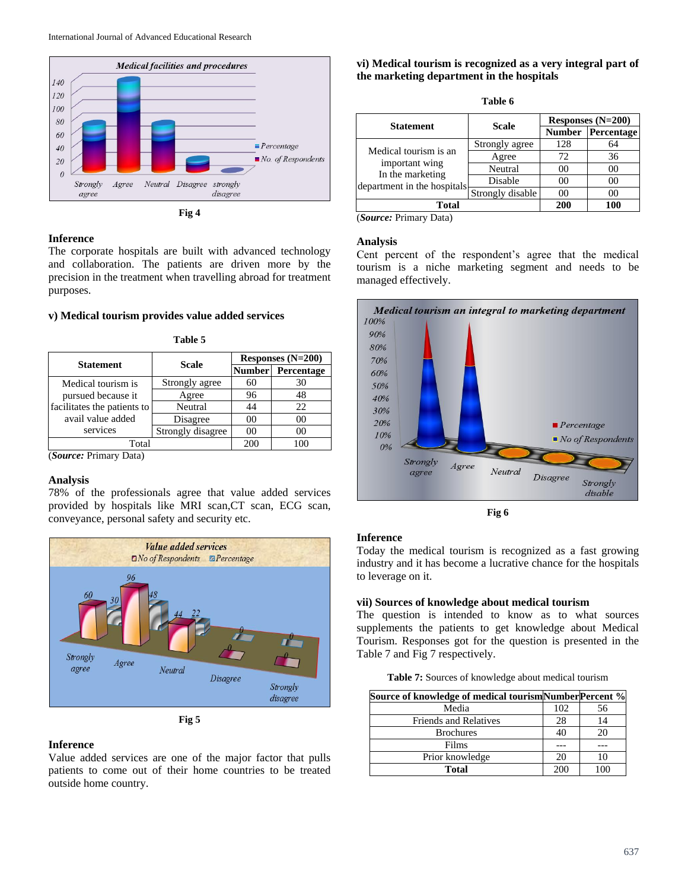

#### **Inference**

The corporate hospitals are built with advanced technology and collaboration. The patients are driven more by the precision in the treatment when travelling abroad for treatment purposes.

#### **v) Medical tourism provides value added services**

| <b>Statement</b>            | <b>Scale</b>      | Responses $(N=200)$ |                   |  |
|-----------------------------|-------------------|---------------------|-------------------|--|
|                             |                   |                     | Number Percentage |  |
| Medical tourism is          | Strongly agree    | 60                  | 30                |  |
| pursued because it          | Agree             | 96                  | 48                |  |
| facilitates the patients to | Neutral           | 44                  | 22                |  |
| avail value added           | Disagree          | 00                  | 00                |  |
| services                    | Strongly disagree | 00                  |                   |  |
| Total                       |                   | 200                 | ı nr              |  |

**Table 5**

(*Source:* Primary Data)

#### **Analysis**

78% of the professionals agree that value added services provided by hospitals like MRI scan, CT scan, ECG scan, conveyance, personal safety and security etc.



**Fig 5**

#### **Inference**

Value added services are one of the major factor that pulls patients to come out of their home countries to be treated outside home country.

#### **vi) Medical tourism is recognized as a very integral part of the marketing department in the hospitals**

| ш<br>۰, |
|---------|
|---------|

|                                                                                            |                  | Responses $(N=200)$ |            |  |
|--------------------------------------------------------------------------------------------|------------------|---------------------|------------|--|
| <b>Statement</b>                                                                           | Scale            | <b>Number</b>       | Percentage |  |
|                                                                                            | Strongly agree   | 128                 | 64         |  |
| Medical tourism is an<br>important wing<br>In the marketing<br>department in the hospitals | Agree            | 72                  | 36         |  |
|                                                                                            | Neutral          | 00                  | 00         |  |
|                                                                                            | Disable          | 00                  | 00         |  |
|                                                                                            | Strongly disable | 00                  | 00         |  |
| <b>Total</b>                                                                               |                  | 200                 | 100        |  |
| (Source: Primary Data)                                                                     |                  |                     |            |  |

# **Analysis**

Cent percent of the respondent's agree that the medical tourism is a niche marketing segment and needs to be managed effectively.



**Fig 6**

# **Inference**

Today the medical tourism is recognized as a fast growing industry and it has become a lucrative chance for the hospitals to leverage on it.

#### **vii) Sources of knowledge about medical tourism**

The question is intended to know as to what sources supplements the patients to get knowledge about Medical Tourism. Responses got for the question is presented in the Table 7 and Fig 7 respectively.

**Table 7:** Sources of knowledge about medical tourism

| Source of knowledge of medical tourismNumberPercent % |     |    |
|-------------------------------------------------------|-----|----|
| Media                                                 | 102 | 56 |
| <b>Friends and Relatives</b>                          | 28  | 14 |
| <b>Brochures</b>                                      | 40  |    |
| Films                                                 |     |    |
| Prior knowledge                                       | 20  |    |
| Total                                                 | 200 |    |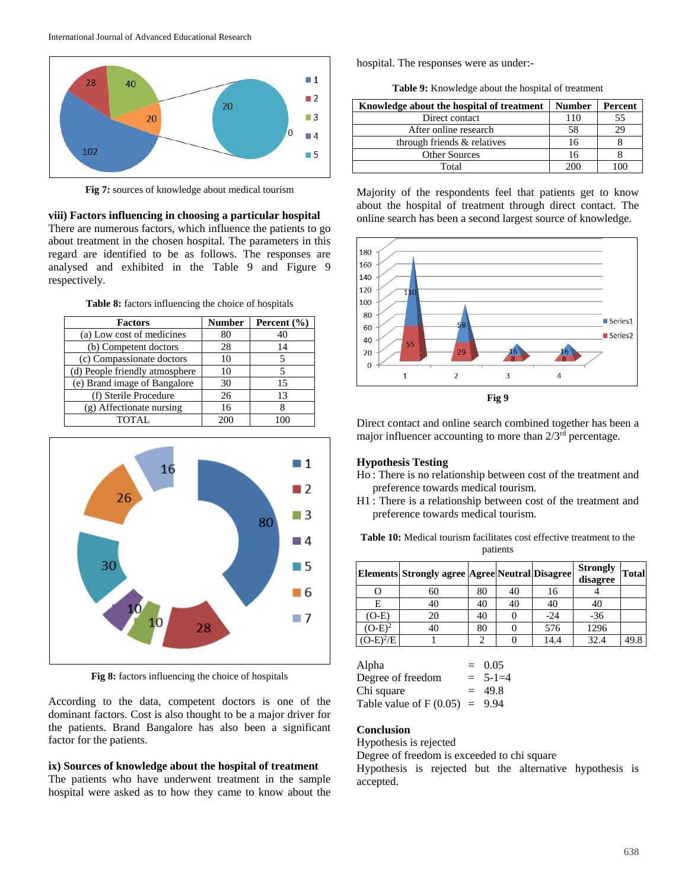

**Fig 7:** sources of knowledge about medical tourism

**viii) Factors influencing in choosing a particular hospital** There are numerous factors, which influence the patients to go about treatment in the chosen hospital. The parameters in this regard are identified to be as follows. The responses are analysed and exhibited in the Table 9 and Figure 9 respectively.

**Table 8:** factors influencing the choice of hospitals

| <b>Factors</b>                 | <b>Number</b> | Percent $(\% )$ |
|--------------------------------|---------------|-----------------|
| (a) Low cost of medicines      | 80            | 40              |
| (b) Competent doctors          | 28            | 14              |
| (c) Compassionate doctors      | 10            |                 |
| (d) People friendly atmosphere | 10            |                 |
| (e) Brand image of Bangalore   | 30            | 15              |
| (f) Sterile Procedure          | 26            | 13              |
| (g) Affectionate nursing       | 16            |                 |
| TOTAL.                         |               |                 |



**Fig 8:** factors influencing the choice of hospitals

According to the data, competent doctors is one of the dominant factors. Cost is also thought to be a major driver for the patients. Brand Bangalore has also been a significant factor for the patients.

#### **ix) Sources of knowledge about the hospital of treatment**

The patients who have underwent treatment in the sample hospital were asked as to how they came to know about the hospital. The responses were as under:-

**Table 9:** Knowledge about the hospital of treatment

| Knowledge about the hospital of treatment | <b>Number</b> | Percent |
|-------------------------------------------|---------------|---------|
| Direct contact                            | 110           | 55      |
| After online research                     | 58            | 29      |
| through friends & relatives               | 16            |         |
| <b>Other Sources</b>                      | 16            |         |
| Total                                     | 200           |         |

Majority of the respondents feel that patients get to know about the hospital of treatment through direct contact. The online search has been a second largest source of knowledge.



Direct contact and online search combined together has been a major influencer accounting to more than  $2/3<sup>rd</sup>$  percentage.

# **Hypothesis Testing**

- Ho : There is no relationship between cost of the treatment and preference towards medical tourism.
- H1 : There is a relationship between cost of the treatment and preference towards medical tourism.

**Table 10:** Medical tourism facilitates cost effective treatment to the patients

|             | Elements Strongly agree Agree Neutral Disagree |    |    |       | <b>Strongly</b><br>disagree | <b>Total</b> |
|-------------|------------------------------------------------|----|----|-------|-----------------------------|--------------|
|             | 60                                             | 80 | 40 | 16    |                             |              |
| E           | 40                                             | 40 | 40 | 40    | 40                          |              |
| (O-E)       | 20                                             | 40 |    | $-24$ | $-36$                       |              |
| $(O-E)^2$   | 40                                             | 80 |    | 576   | 1296                        |              |
| $(O-E)^2/E$ |                                                | ◠  |    | 14.4  | 32.4                        | 49.8         |

| Alpha                           |     | $= 0.05$      |
|---------------------------------|-----|---------------|
| Degree of freedom               |     | $= 5 - 1 = 4$ |
| Chi square                      | $=$ | 49.8          |
| Table value of $F(0.05) = 9.94$ |     |               |

# **Conclusion**

Hypothesis is rejected

Degree of freedom is exceeded to chi square

Hypothesis is rejected but the alternative hypothesis is accepted.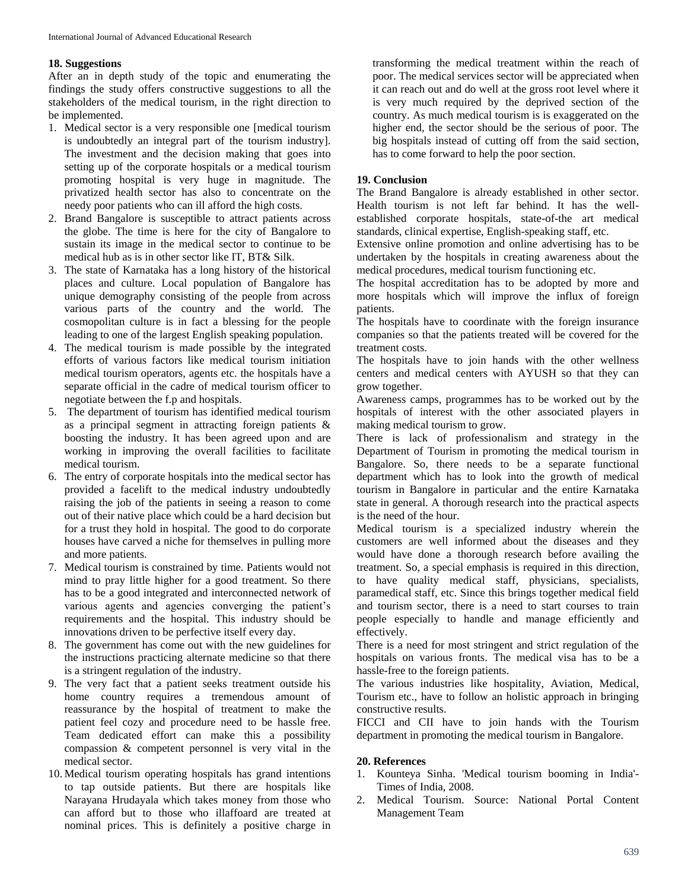# **18. Suggestions**

After an in depth study of the topic and enumerating the findings the study offers constructive suggestions to all the stakeholders of the medical tourism, in the right direction to be implemented.

- 1. Medical sector is a very responsible one [medical tourism is undoubtedly an integral part of the tourism industry]. The investment and the decision making that goes into setting up of the corporate hospitals or a medical tourism promoting hospital is very huge in magnitude. The privatized health sector has also to concentrate on the needy poor patients who can ill afford the high costs.
- 2. Brand Bangalore is susceptible to attract patients across the globe. The time is here for the city of Bangalore to sustain its image in the medical sector to continue to be medical hub as is in other sector like IT, BT& Silk.
- 3. The state of Karnataka has a long history of the historical places and culture. Local population of Bangalore has unique demography consisting of the people from across various parts of the country and the world. The cosmopolitan culture is in fact a blessing for the people leading to one of the largest English speaking population.
- 4. The medical tourism is made possible by the integrated efforts of various factors like medical tourism initiation medical tourism operators, agents etc. the hospitals have a separate official in the cadre of medical tourism officer to negotiate between the f.p and hospitals.
- 5. The department of tourism has identified medical tourism as a principal segment in attracting foreign patients & boosting the industry. It has been agreed upon and are working in improving the overall facilities to facilitate medical tourism.
- 6. The entry of corporate hospitals into the medical sector has provided a facelift to the medical industry undoubtedly raising the job of the patients in seeing a reason to come out of their native place which could be a hard decision but for a trust they hold in hospital. The good to do corporate houses have carved a niche for themselves in pulling more and more patients.
- 7. Medical tourism is constrained by time. Patients would not mind to pray little higher for a good treatment. So there has to be a good integrated and interconnected network of various agents and agencies converging the patient's requirements and the hospital. This industry should be innovations driven to be perfective itself every day.
- 8. The government has come out with the new guidelines for the instructions practicing alternate medicine so that there is a stringent regulation of the industry.
- 9. The very fact that a patient seeks treatment outside his home country requires a tremendous amount of reassurance by the hospital of treatment to make the patient feel cozy and procedure need to be hassle free. Team dedicated effort can make this a possibility compassion & competent personnel is very vital in the medical sector.
- 10. Medical tourism operating hospitals has grand intentions to tap outside patients. But there are hospitals like Narayana Hrudayala which takes money from those who can afford but to those who illaffoard are treated at nominal prices. This is definitely a positive charge in

transforming the medical treatment within the reach of poor. The medical services sector will be appreciated when it can reach out and do well at the gross root level where it is very much required by the deprived section of the country. As much medical tourism is is exaggerated on the higher end, the sector should be the serious of poor. The big hospitals instead of cutting off from the said section, has to come forward to help the poor section.

# **19. Conclusion**

The Brand Bangalore is already established in other sector. Health tourism is not left far behind. It has the wellestablished corporate hospitals, state-of-the art medical standards, clinical expertise, English-speaking staff, etc.

Extensive online promotion and online advertising has to be undertaken by the hospitals in creating awareness about the medical procedures, medical tourism functioning etc.

The hospital accreditation has to be adopted by more and more hospitals which will improve the influx of foreign patients.

The hospitals have to coordinate with the foreign insurance companies so that the patients treated will be covered for the treatment costs.

The hospitals have to join hands with the other wellness centers and medical centers with AYUSH so that they can grow together.

Awareness camps, programmes has to be worked out by the hospitals of interest with the other associated players in making medical tourism to grow.

There is lack of professionalism and strategy in the Department of Tourism in promoting the medical tourism in Bangalore. So, there needs to be a separate functional department which has to look into the growth of medical tourism in Bangalore in particular and the entire Karnataka state in general. A thorough research into the practical aspects is the need of the hour.

Medical tourism is a specialized industry wherein the customers are well informed about the diseases and they would have done a thorough research before availing the treatment. So, a special emphasis is required in this direction, to have quality medical staff, physicians, specialists, paramedical staff, etc. Since this brings together medical field and tourism sector, there is a need to start courses to train people especially to handle and manage efficiently and effectively.

There is a need for most stringent and strict regulation of the hospitals on various fronts. The medical visa has to be a hassle-free to the foreign patients.

The various industries like hospitality, Aviation, Medical, Tourism etc., have to follow an holistic approach in bringing constructive results.

FICCI and CII have to join hands with the Tourism department in promoting the medical tourism in Bangalore.

#### **20. References**

- 1. Kounteya Sinha. 'Medical tourism booming in India'- Times of India, 2008.
- 2. Medical Tourism. Source: National Portal Content Management Team